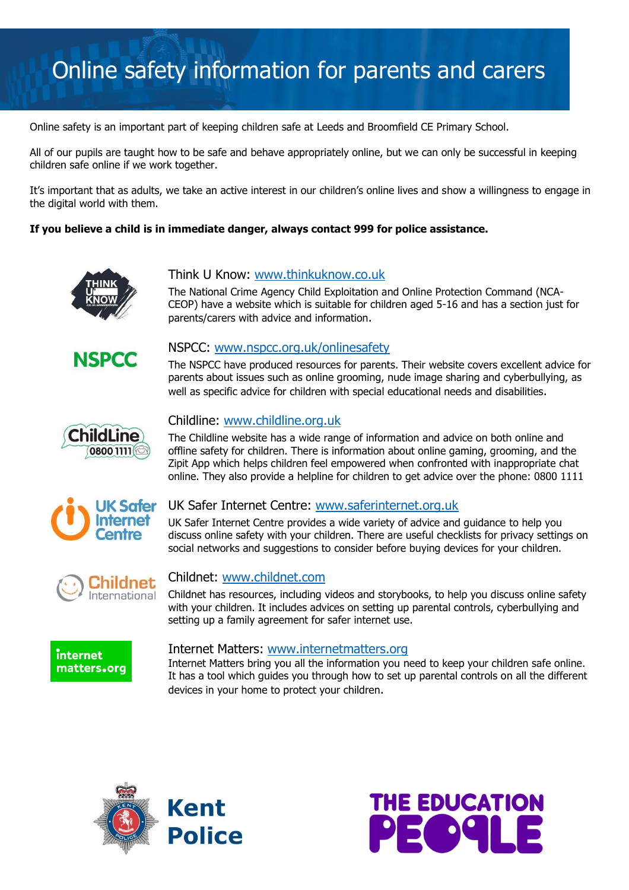# Online safety information for parents and carers

Online safety is an important part of keeping children safe at Leeds and Broomfield CE Primary School.

All of our pupils are taught how to be safe and behave appropriately online, but we can only be successful in keeping children safe online if we work together.

It's important that as adults, we take an active interest in our children's online lives and show a willingness to engage in the digital world with them.

### **If you believe a child is in immediate danger, always contact 999 for police assistance.**



## Think U Know: [www.thinkuknow.co.uk](http://www.thinkuknow.co.uk/)

The National Crime Agency Child Exploitation and Online Protection Command (NCA-CEOP) have a website which is suitable for children aged 5-16 and has a section just for parents/carers with advice and information.



## NSPCC: [www.nspcc.org.uk/onlinesafety](http://www.nspcc.org.uk/onlinesafety)

The NSPCC have produced resources for parents. Their website covers excellent advice for parents about issues such as online grooming, nude image sharing and cyberbullying, as well as specific advice for children with special educational needs and disabilities.



## Childline: [www.childline.org.uk](http://www.childline.org.uk/)

The Childline website has a wide range of information and advice on both online and offline safety for children. There is information about online gaming, grooming, and the Zipit App which helps children feel empowered when confronted with inappropriate chat online. They also provide a helpline for children to get advice over the phone: 0800 1111



#### UK Safer Internet Centre: [www.saferinternet.org.uk](http://www.saferinternet.org.uk/)

UK Safer Internet Centre provides a wide variety of advice and guidance to help you discuss online safety with your children. There are useful checklists for privacy settings on social networks and suggestions to consider before buying devices for your children.



## Childnet: [www.childnet.com](http://www.childnet.com/)

Childnet has resources, including videos and storybooks, to help you discuss online safety with your children. It includes advices on setting up parental controls, cyberbullying and setting up a family agreement for safer internet use.



#### Internet Matters: [www.internetmatters.org](http://www.internetmatters.org/)

Internet Matters bring you all the information you need to keep your children safe online. It has a tool which guides you through how to set up parental controls on all the different devices in your home to protect your children.